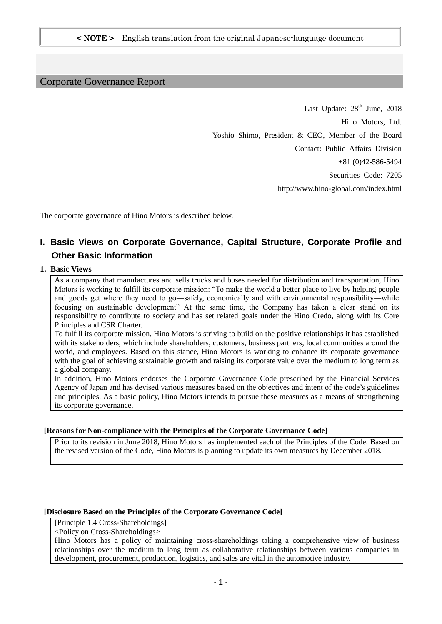### Corporate Governance Report

Last Update: 28<sup>th</sup> June, 2018 Hino Motors, Ltd. Yoshio Shimo, President & CEO, Member of the Board Contact: Public Affairs Division +81 (0)42-586-5494 Securities Code: 7205 http://www.hino-global.com/index.html

The corporate governance of Hino Motors is described below.

### **I. Basic Views on Corporate Governance, Capital Structure, Corporate Profile and Other Basic Information**

### **1. Basic Views**

As a company that manufactures and sells trucks and buses needed for distribution and transportation, Hino Motors is working to fulfill its corporate mission: "To make the world a better place to live by helping people and goods get where they need to go—safely, economically and with environmental responsibility—while focusing on sustainable development" At the same time, the Company has taken a clear stand on its responsibility to contribute to society and has set related goals under the Hino Credo, along with its Core Principles and CSR Charter.

To fulfill its corporate mission, Hino Motors is striving to build on the positive relationships it has established with its stakeholders, which include shareholders, customers, business partners, local communities around the world, and employees. Based on this stance, Hino Motors is working to enhance its corporate governance with the goal of achieving sustainable growth and raising its corporate value over the medium to long term as a global company.

In addition, Hino Motors endorses the Corporate Governance Code prescribed by the Financial Services Agency of Japan and has devised various measures based on the objectives and intent of the code's guidelines and principles. As a basic policy, Hino Motors intends to pursue these measures as a means of strengthening its corporate governance.

#### **[Reasons for Non-compliance with the Principles of the Corporate Governance Code]**

Prior to its revision in June 2018, Hino Motors has implemented each of the Principles of the Code. Based on the revised version of the Code, Hino Motors is planning to update its own measures by December 2018.

#### **[Disclosure Based on the Principles of the Corporate Governance Code]**

[Principle 1.4 Cross-Shareholdings]

<Policy on Cross-Shareholdings>

Hino Motors has a policy of maintaining cross-shareholdings taking a comprehensive view of business relationships over the medium to long term as collaborative relationships between various companies in development, procurement, production, logistics, and sales are vital in the automotive industry.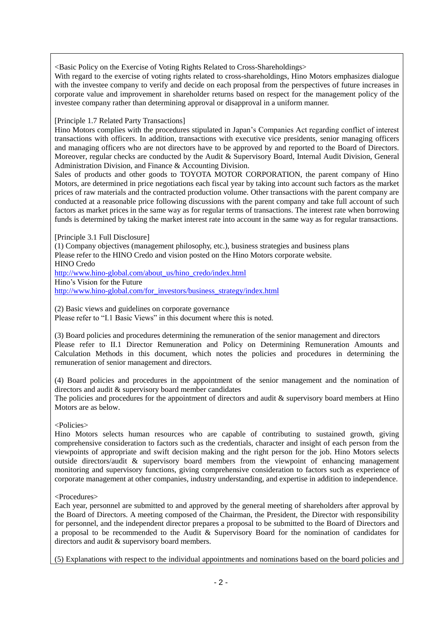<Basic Policy on the Exercise of Voting Rights Related to Cross-Shareholdings>

With regard to the exercise of voting rights related to cross-shareholdings, Hino Motors emphasizes dialogue with the investee company to verify and decide on each proposal from the perspectives of future increases in corporate value and improvement in shareholder returns based on respect for the management policy of the investee company rather than determining approval or disapproval in a uniform manner.

[Principle 1.7 Related Party Transactions]

Hino Motors complies with the procedures stipulated in Japan's Companies Act regarding conflict of interest transactions with officers. In addition, transactions with executive vice presidents, senior managing officers and managing officers who are not directors have to be approved by and reported to the Board of Directors. Moreover, regular checks are conducted by the Audit & Supervisory Board, Internal Audit Division, General Administration Division, and Finance & Accounting Division.

Sales of products and other goods to TOYOTA MOTOR CORPORATION, the parent company of Hino Motors, are determined in price negotiations each fiscal year by taking into account such factors as the market prices of raw materials and the contracted production volume. Other transactions with the parent company are conducted at a reasonable price following discussions with the parent company and take full account of such factors as market prices in the same way as for regular terms of transactions. The interest rate when borrowing funds is determined by taking the market interest rate into account in the same way as for regular transactions.

[Principle 3.1 Full Disclosure]

(1) Company objectives (management philosophy, etc.), business strategies and business plans Please refer to the HINO Credo and vision posted on the Hino Motors corporate website. HINO Credo

[http://www.hino-global.com/about\\_us/hino\\_credo/index.html](http://www.hino-global.com/about_us/hino_credo/index.html) Hino's Vision for the Future

[http://www.hino-global.com/for\\_investors/business\\_strategy/index.html](http://www.hino-global.com/for_investors/business_strategy/index.html)

(2) Basic views and guidelines on corporate governance

Please refer to "I.1 Basic Views" in this document where this is noted.

(3) Board policies and procedures determining the remuneration of the senior management and directors Please refer to II.1 Director Remuneration and Policy on Determining Remuneration Amounts and Calculation Methods in this document, which notes the policies and procedures in determining the remuneration of senior management and directors.

(4) Board policies and procedures in the appointment of the senior management and the nomination of directors and audit & supervisory board member candidates

The policies and procedures for the appointment of directors and audit & supervisory board members at Hino Motors are as below.

<Policies>

Hino Motors selects human resources who are capable of contributing to sustained growth, giving comprehensive consideration to factors such as the credentials, character and insight of each person from the viewpoints of appropriate and swift decision making and the right person for the job. Hino Motors selects outside directors/audit & supervisory board members from the viewpoint of enhancing management monitoring and supervisory functions, giving comprehensive consideration to factors such as experience of corporate management at other companies, industry understanding, and expertise in addition to independence.

<Procedures>

Each year, personnel are submitted to and approved by the general meeting of shareholders after approval by the Board of Directors. A meeting composed of the Chairman, the President, the Director with responsibility for personnel, and the independent director prepares a proposal to be submitted to the Board of Directors and a proposal to be recommended to the Audit & Supervisory Board for the nomination of candidates for directors and audit & supervisory board members.

(5) Explanations with respect to the individual appointments and nominations based on the board policies and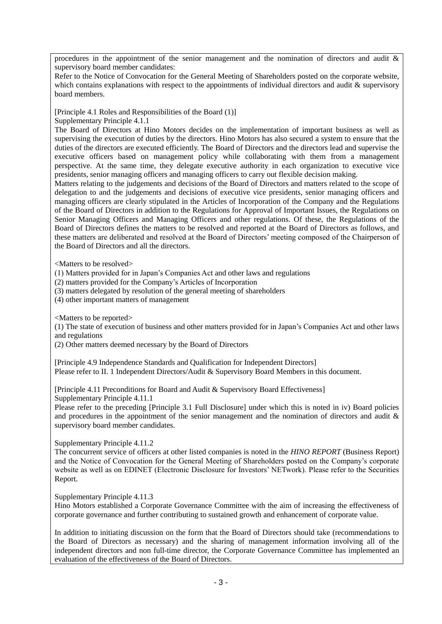procedures in the appointment of the senior management and the nomination of directors and audit  $\&$ supervisory board member candidates:

Refer to the Notice of Convocation for the General Meeting of Shareholders posted on the corporate website, which contains explanations with respect to the appointments of individual directors and audit  $\&$  supervisory board members.

[Principle 4.1 Roles and Responsibilities of the Board (1)]

Supplementary Principle 4.1.1

The Board of Directors at Hino Motors decides on the implementation of important business as well as supervising the execution of duties by the directors. Hino Motors has also secured a system to ensure that the duties of the directors are executed efficiently. The Board of Directors and the directors lead and supervise the executive officers based on management policy while collaborating with them from a management perspective. At the same time, they delegate executive authority in each organization to executive vice presidents, senior managing officers and managing officers to carry out flexible decision making.

Matters relating to the judgements and decisions of the Board of Directors and matters related to the scope of delegation to and the judgements and decisions of executive vice presidents, senior managing officers and managing officers are clearly stipulated in the Articles of Incorporation of the Company and the Regulations of the Board of Directors in addition to the Regulations for Approval of Important Issues, the Regulations on Senior Managing Officers and Managing Officers and other regulations. Of these, the Regulations of the Board of Directors defines the matters to be resolved and reported at the Board of Directors as follows, and these matters are deliberated and resolved at the Board of Directors' meeting composed of the Chairperson of the Board of Directors and all the directors.

<Matters to be resolved>

(1) Matters provided for in Japan's Companies Act and other laws and regulations

(2) matters provided for the Company's Articles of Incorporation

(3) matters delegated by resolution of the general meeting of shareholders

(4) other important matters of management

<Matters to be reported>

(1) The state of execution of business and other matters provided for in Japan's Companies Act and other laws and regulations

(2) Other matters deemed necessary by the Board of Directors

[Principle 4.9 Independence Standards and Qualification for Independent Directors] Please refer to II. 1 Independent Directors/Audit & Supervisory Board Members in this document.

[Principle 4.11 Preconditions for Board and Audit & Supervisory Board Effectiveness] Supplementary Principle 4.11.1

Please refer to the preceding [Principle 3.1 Full Disclosure] under which this is noted in iv) Board policies and procedures in the appointment of the senior management and the nomination of directors and audit & supervisory board member candidates.

Supplementary Principle 4.11.2

The concurrent service of officers at other listed companies is noted in the *HINO REPORT* (Business Report) and the Notice of Convocation for the General Meeting of Shareholders posted on the Company's corporate website as well as on EDINET (Electronic Disclosure for Investors' NETwork). Please refer to the Securities Report.

Supplementary Principle 4.11.3

Hino Motors established a Corporate Governance Committee with the aim of increasing the effectiveness of corporate governance and further contributing to sustained growth and enhancement of corporate value.

In addition to initiating discussion on the form that the Board of Directors should take (recommendations to the Board of Directors as necessary) and the sharing of management information involving all of the independent directors and non full-time director, the Corporate Governance Committee has implemented an evaluation of the effectiveness of the Board of Directors.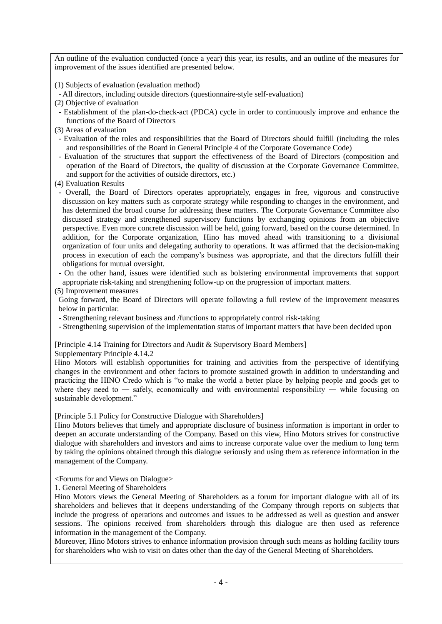An outline of the evaluation conducted (once a year) this year, its results, and an outline of the measures for improvement of the issues identified are presented below.

(1) Subjects of evaluation (evaluation method)

- All directors, including outside directors (questionnaire-style self-evaluation)

- (2) Objective of evaluation
- Establishment of the plan-do-check-act (PDCA) cycle in order to continuously improve and enhance the functions of the Board of Directors
- (3) Areas of evaluation
- Evaluation of the roles and responsibilities that the Board of Directors should fulfill (including the roles and responsibilities of the Board in General Principle 4 of the Corporate Governance Code)
- Evaluation of the structures that support the effectiveness of the Board of Directors (composition and operation of the Board of Directors, the quality of discussion at the Corporate Governance Committee, and support for the activities of outside directors, etc.)
- (4) Evaluation Results
- Overall, the Board of Directors operates appropriately, engages in free, vigorous and constructive discussion on key matters such as corporate strategy while responding to changes in the environment, and has determined the broad course for addressing these matters. The Corporate Governance Committee also discussed strategy and strengthened supervisory functions by exchanging opinions from an objective perspective. Even more concrete discussion will be held, going forward, based on the course determined. In addition, for the Corporate organization, Hino has moved ahead with transitioning to a divisional organization of four units and delegating authority to operations. It was affirmed that the decision-making process in execution of each the company's business was appropriate, and that the directors fulfill their obligations for mutual oversight.
- On the other hand, issues were identified such as bolstering environmental improvements that support appropriate risk-taking and strengthening follow-up on the progression of important matters.

(5) Improvement measures

Going forward, the Board of Directors will operate following a full review of the improvement measures below in particular.

- Strengthening relevant business and /functions to appropriately control risk-taking
- Strengthening supervision of the implementation status of important matters that have been decided upon

[Principle 4.14 Training for Directors and Audit & Supervisory Board Members]

Supplementary Principle 4.14.2

Hino Motors will establish opportunities for training and activities from the perspective of identifying changes in the environment and other factors to promote sustained growth in addition to understanding and practicing the HINO Credo which is "to make the world a better place by helping people and goods get to where they need to — safely, economically and with environmental responsibility — while focusing on sustainable development."

[Principle 5.1 Policy for Constructive Dialogue with Shareholders]

Hino Motors believes that timely and appropriate disclosure of business information is important in order to deepen an accurate understanding of the Company. Based on this view, Hino Motors strives for constructive dialogue with shareholders and investors and aims to increase corporate value over the medium to long term by taking the opinions obtained through this dialogue seriously and using them as reference information in the management of the Company.

<Forums for and Views on Dialogue>

1. General Meeting of Shareholders

Hino Motors views the General Meeting of Shareholders as a forum for important dialogue with all of its shareholders and believes that it deepens understanding of the Company through reports on subjects that include the progress of operations and outcomes and issues to be addressed as well as question and answer sessions. The opinions received from shareholders through this dialogue are then used as reference information in the management of the Company.

Moreover, Hino Motors strives to enhance information provision through such means as holding facility tours for shareholders who wish to visit on dates other than the day of the General Meeting of Shareholders.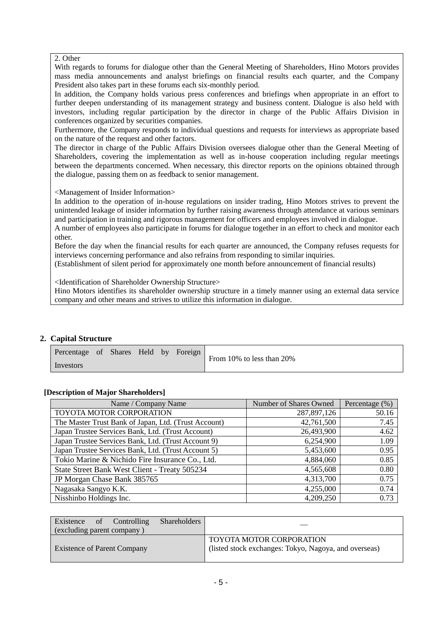### 2. Other

With regards to forums for dialogue other than the General Meeting of Shareholders, Hino Motors provides mass media announcements and analyst briefings on financial results each quarter, and the Company President also takes part in these forums each six-monthly period.

In addition, the Company holds various press conferences and briefings when appropriate in an effort to further deepen understanding of its management strategy and business content. Dialogue is also held with investors, including regular participation by the director in charge of the Public Affairs Division in conferences organized by securities companies.

Furthermore, the Company responds to individual questions and requests for interviews as appropriate based on the nature of the request and other factors.

The director in charge of the Public Affairs Division oversees dialogue other than the General Meeting of Shareholders, covering the implementation as well as in-house cooperation including regular meetings between the departments concerned. When necessary, this director reports on the opinions obtained through the dialogue, passing them on as feedback to senior management.

<Management of Insider Information>

In addition to the operation of in-house regulations on insider trading, Hino Motors strives to prevent the unintended leakage of insider information by further raising awareness through attendance at various seminars and participation in training and rigorous management for officers and employees involved in dialogue. A number of employees also participate in forums for dialogue together in an effort to check and monitor each

other.

Before the day when the financial results for each quarter are announced, the Company refuses requests for interviews concerning performance and also refrains from responding to similar inquiries.

(Establishment of silent period for approximately one month before announcement of financial results)

<Identification of Shareholder Ownership Structure>

Hino Motors identifies its shareholder ownership structure in a timely manner using an external data service company and other means and strives to utilize this information in dialogue.

### **2. Capital Structure**

| Percentage of Shares Held by Foreign |  |  | From 10% to less than 20% |
|--------------------------------------|--|--|---------------------------|
| Investors                            |  |  |                           |

### **[Description of Major Shareholders]**

| Name / Company Name                                  | Number of Shares Owned | Percentage $(\%)$ |
|------------------------------------------------------|------------------------|-------------------|
| TOYOTA MOTOR CORPORATION                             | 287,897,126            | 50.16             |
| The Master Trust Bank of Japan, Ltd. (Trust Account) | 42,761,500             | 7.45              |
| Japan Trustee Services Bank, Ltd. (Trust Account)    | 26,493,900             | 4.62              |
| Japan Trustee Services Bank, Ltd. (Trust Account 9)  | 6,254,900              | 1.09              |
| Japan Trustee Services Bank, Ltd. (Trust Account 5)  | 5,453,600              | 0.95              |
| Tokio Marine & Nichido Fire Insurance Co., Ltd.      | 4,884,060              | 0.85              |
| State Street Bank West Client - Treaty 505234        | 4,565,608              | 0.80              |
| JP Morgan Chase Bank 385765                          | 4,313,700              | 0.75              |
| Nagasaka Sangyo K.K.                                 | 4,255,000              | 0.74              |
| Nisshinbo Holdings Inc.                              | 4,209,250              | 0.73              |

| Existence of Controlling<br>(excluding parent company) | Shareholders |                                                                                   |
|--------------------------------------------------------|--------------|-----------------------------------------------------------------------------------|
| <b>Existence of Parent Company</b>                     |              | TOYOTA MOTOR CORPORATION<br>(listed stock exchanges: Tokyo, Nagoya, and overseas) |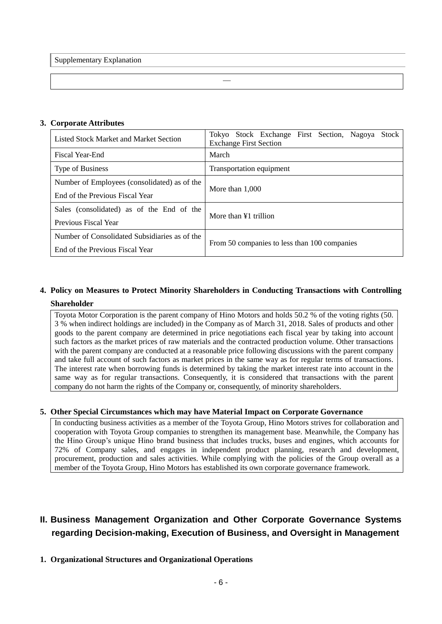Supplementary Explanation

### **3. Corporate Attributes**

| Listed Stock Market and Market Section        | Tokyo Stock Exchange First Section, Nagoya<br>Stock<br><b>Exchange First Section</b> |  |  |  |  |  |  |  |
|-----------------------------------------------|--------------------------------------------------------------------------------------|--|--|--|--|--|--|--|
| Fiscal Year-End                               | March                                                                                |  |  |  |  |  |  |  |
| <b>Type of Business</b>                       | Transportation equipment                                                             |  |  |  |  |  |  |  |
| Number of Employees (consolidated) as of the  | More than $1.000$                                                                    |  |  |  |  |  |  |  |
| End of the Previous Fiscal Year               |                                                                                      |  |  |  |  |  |  |  |
| Sales (consolidated) as of the End of the     | More than $\angle 1$ trillion                                                        |  |  |  |  |  |  |  |
| Previous Fiscal Year                          |                                                                                      |  |  |  |  |  |  |  |
| Number of Consolidated Subsidiaries as of the | From 50 companies to less than 100 companies                                         |  |  |  |  |  |  |  |
| End of the Previous Fiscal Year               |                                                                                      |  |  |  |  |  |  |  |

―

### **4. Policy on Measures to Protect Minority Shareholders in Conducting Transactions with Controlling Shareholder**

Toyota Motor Corporation is the parent company of Hino Motors and holds 50.2 % of the voting rights (50. 3 % when indirect holdings are included) in the Company as of March 31, 2018. Sales of products and other goods to the parent company are determined in price negotiations each fiscal year by taking into account such factors as the market prices of raw materials and the contracted production volume. Other transactions with the parent company are conducted at a reasonable price following discussions with the parent company and take full account of such factors as market prices in the same way as for regular terms of transactions. The interest rate when borrowing funds is determined by taking the market interest rate into account in the same way as for regular transactions. Consequently, it is considered that transactions with the parent company do not harm the rights of the Company or, consequently, of minority shareholders.

### **5. Other Special Circumstances which may have Material Impact on Corporate Governance**

In conducting business activities as a member of the Toyota Group, Hino Motors strives for collaboration and cooperation with Toyota Group companies to strengthen its management base. Meanwhile, the Company has the Hino Group's unique Hino brand business that includes trucks, buses and engines, which accounts for 72% of Company sales, and engages in independent product planning, research and development, procurement, production and sales activities. While complying with the policies of the Group overall as a member of the Toyota Group, Hino Motors has established its own corporate governance framework.

### **II. Business Management Organization and Other Corporate Governance Systems regarding Decision-making, Execution of Business, and Oversight in Management**

### **1. Organizational Structures and Organizational Operations**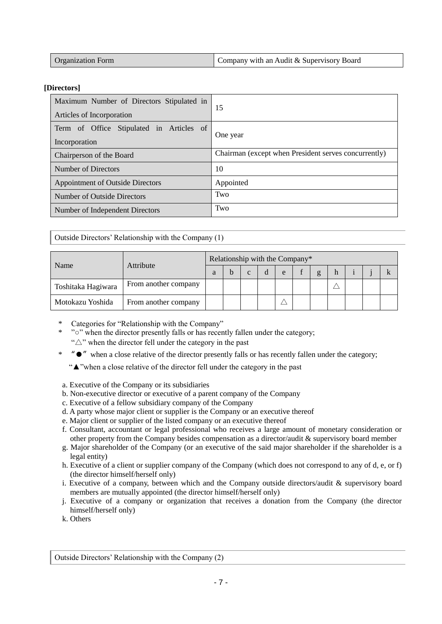| <b>Organization Form</b> | Company with an Audit & Supervisory Board |
|--------------------------|-------------------------------------------|
|                          |                                           |

### **[Directors]**

| Maximum Number of Directors Stipulated in<br>Articles of Incorporation | 15                                                   |  |  |  |
|------------------------------------------------------------------------|------------------------------------------------------|--|--|--|
| Term of Office Stipulated in Articles of<br>Incorporation              | One year                                             |  |  |  |
| Chairperson of the Board                                               | Chairman (except when President serves concurrently) |  |  |  |
| Number of Directors                                                    | 10                                                   |  |  |  |
| <b>Appointment of Outside Directors</b>                                | Appointed                                            |  |  |  |
| Number of Outside Directors                                            | Two                                                  |  |  |  |
| Number of Independent Directors                                        | Two                                                  |  |  |  |

Outside Directors' Relationship with the Company (1)

| Name               |                      | Relationship with the Company* |  |   |   |   |  |   |  |  |  |  |
|--------------------|----------------------|--------------------------------|--|---|---|---|--|---|--|--|--|--|
|                    | Attribute            |                                |  | C | d | e |  | g |  |  |  |  |
| Toshitaka Hagiwara | From another company |                                |  |   |   |   |  |   |  |  |  |  |
| Motokazu Yoshida   | From another company |                                |  |   |   |   |  |   |  |  |  |  |

- Categories for "Relationship with the Company"
- "<sup>o</sup>" when the director presently falls or has recently fallen under the category;
	- " $\triangle$ " when the director fell under the category in the past
- \* "●" when a close relative of the director presently falls or has recently fallen under the category;
	- "▲"when a close relative of the director fell under the category in the past
- a. Executive of the Company or its subsidiaries
- b. Non-executive director or executive of a parent company of the Company
- c. Executive of a fellow subsidiary company of the Company
- d. A party whose major client or supplier is the Company or an executive thereof
- e. Major client or supplier of the listed company or an executive thereof
- f. Consultant, accountant or legal professional who receives a large amount of monetary consideration or other property from the Company besides compensation as a director/audit & supervisory board member
- g. Major shareholder of the Company (or an executive of the said major shareholder if the shareholder is a legal entity)
- h. Executive of a client or supplier company of the Company (which does not correspond to any of d, e, or f) (the director himself/herself only)
- i. Executive of a company, between which and the Company outside directors/audit & supervisory board members are mutually appointed (the director himself/herself only)
- j. Executive of a company or organization that receives a donation from the Company (the director himself/herself only)
- k. Others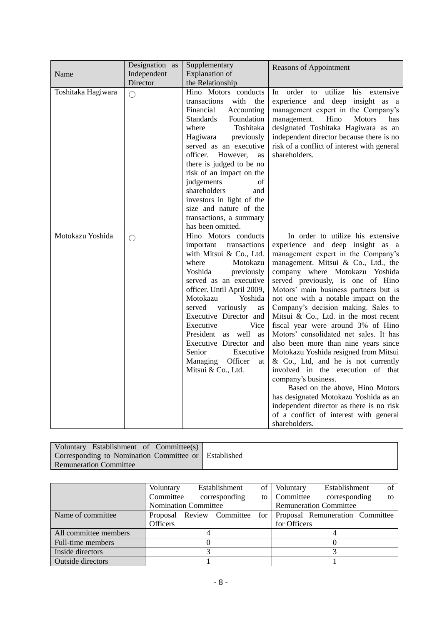| Name               | Designation as<br>Independent<br>Director | Supplementary<br><b>Explanation</b> of<br>the Relationship                                                                                                                                                                                                                                                                                                                                                                         | <b>Reasons of Appointment</b>                                                                                                                                                                                                                                                                                                                                                                                                                                                                                                                                                                                                                                                                                                                                                                                                                     |
|--------------------|-------------------------------------------|------------------------------------------------------------------------------------------------------------------------------------------------------------------------------------------------------------------------------------------------------------------------------------------------------------------------------------------------------------------------------------------------------------------------------------|---------------------------------------------------------------------------------------------------------------------------------------------------------------------------------------------------------------------------------------------------------------------------------------------------------------------------------------------------------------------------------------------------------------------------------------------------------------------------------------------------------------------------------------------------------------------------------------------------------------------------------------------------------------------------------------------------------------------------------------------------------------------------------------------------------------------------------------------------|
| Toshitaka Hagiwara | $\bigcirc$                                | Hino Motors conducts<br>transactions<br>with<br>the<br>Financial<br>Accounting<br><b>Standards</b><br>Foundation<br>Toshitaka<br>where<br>Hagiwara<br>previously<br>served as an executive<br>officer.<br>However,<br>as<br>there is judged to be no<br>risk of an impact on the<br>judgements<br>of<br>shareholders<br>and<br>investors in light of the<br>size and nature of the<br>transactions, a summary<br>has been omitted. | order<br>utilize<br>his extensive<br>In<br>to<br>experience and deep insight as a<br>management expert in the Company's<br>management.<br>Hino<br><b>Motors</b><br>has<br>designated Toshitaka Hagiwara as an<br>independent director because there is no<br>risk of a conflict of interest with general<br>shareholders.                                                                                                                                                                                                                                                                                                                                                                                                                                                                                                                         |
| Motokazu Yoshida   | $\bigcirc$                                | Hino Motors conducts<br>important<br>transactions<br>with Mitsui & Co., Ltd.<br>where<br>Motokazu<br>Yoshida<br>previously<br>served as an executive<br>officer. Until April 2009,<br>Motokazu<br>Yoshida<br>variously<br>served<br>as<br>Executive Director and<br>Vice<br>Executive<br>President as well as<br>Executive Director and<br>Senior<br>Executive<br>Officer<br>Managing<br>at<br>Mitsui & Co., Ltd.                  | In order to utilize his extensive<br>experience and deep insight as a<br>management expert in the Company's<br>management. Mitsui & Co., Ltd., the<br>company where Motokazu Yoshida<br>served previously, is one of Hino<br>Motors' main business partners but is<br>not one with a notable impact on the<br>Company's decision making. Sales to<br>Mitsui & Co., Ltd. in the most recent<br>fiscal year were around 3% of Hino<br>Motors' consolidated net sales. It has<br>also been more than nine years since<br>Motokazu Yoshida resigned from Mitsui<br>& Co., Ltd, and he is not currently<br>involved in the execution of that<br>company's business.<br>Based on the above, Hino Motors<br>has designated Motokazu Yoshida as an<br>independent director as there is no risk<br>of a conflict of interest with general<br>shareholders. |

| Voluntary Establishment of Committee(s)              |  |
|------------------------------------------------------|--|
| Corresponding to Nomination Committee or Established |  |
| Remuneration Committee                               |  |

|                       | Voluntary                   |  | Establishment             | οf  | Voluntary    | Establishment                   | of |
|-----------------------|-----------------------------|--|---------------------------|-----|--------------|---------------------------------|----|
|                       | Committee                   |  | corresponding             | tо  | Committee    | corresponding                   | to |
|                       | <b>Nomination Committee</b> |  |                           |     |              | <b>Remuneration Committee</b>   |    |
| Name of committee     |                             |  | Proposal Review Committee | for |              | Proposal Remuneration Committee |    |
|                       | <b>Officers</b>             |  |                           |     | for Officers |                                 |    |
| All committee members |                             |  |                           |     |              |                                 |    |
| Full-time members     |                             |  |                           |     |              |                                 |    |
| Inside directors      |                             |  |                           |     |              |                                 |    |
| Outside directors     |                             |  |                           |     |              |                                 |    |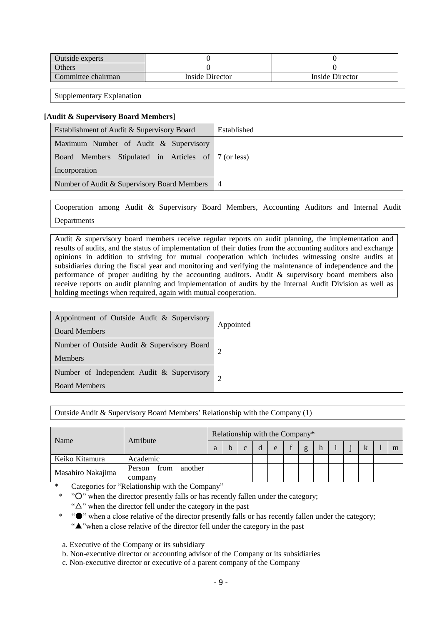| Outside experts    |                 |                 |
|--------------------|-----------------|-----------------|
| <b>Others</b>      |                 |                 |
| Committee chairman | Inside Director | Inside Director |

Supplementary Explanation

#### **[Audit & Supervisory Board Members]**

| Establishment of Audit & Supervisory Board          | Established |
|-----------------------------------------------------|-------------|
| Maximum Number of Audit & Supervisory               |             |
| Board Members Stipulated in Articles of 7 (or less) |             |
| Incorporation                                       |             |
| Number of Audit & Supervisory Board Members   4     |             |

Cooperation among Audit & Supervisory Board Members, Accounting Auditors and Internal Audit Departments

Audit & supervisory board members receive regular reports on audit planning, the implementation and results of audits, and the status of implementation of their duties from the accounting auditors and exchange opinions in addition to striving for mutual cooperation which includes witnessing onsite audits at subsidiaries during the fiscal year and monitoring and verifying the maintenance of independence and the performance of proper auditing by the accounting auditors. Audit & supervisory board members also receive reports on audit planning and implementation of audits by the Internal Audit Division as well as holding meetings when required, again with mutual cooperation.

| Appointment of Outside Audit & Supervisory<br><b>Board Members</b> | Appointed |
|--------------------------------------------------------------------|-----------|
| Number of Outside Audit & Supervisory Board<br><b>Members</b>      |           |
| Number of Independent Audit & Supervisory<br><b>Board Members</b>  |           |

Outside Audit & Supervisory Board Members' Relationship with the Company (1)

| Name              | Attribute                            |  |  | Relationship with the Company* |  |  |  |   |
|-------------------|--------------------------------------|--|--|--------------------------------|--|--|--|---|
|                   |                                      |  |  | e                              |  |  |  | m |
| Keiko Kitamura    | Academic                             |  |  |                                |  |  |  |   |
| Masahiro Nakajima | from<br>another<br>Person<br>company |  |  |                                |  |  |  |   |

Categories for "Relationship with the Company"

"O" when the director presently falls or has recently fallen under the category;

" $\Delta$ " when the director fell under the category in the past

\* "●" when a close relative of the director presently falls or has recently fallen under the category;

"▲"when a close relative of the director fell under the category in the past

a. Executive of the Company or its subsidiary

b. Non-executive director or accounting advisor of the Company or its subsidiaries

c. Non-executive director or executive of a parent company of the Company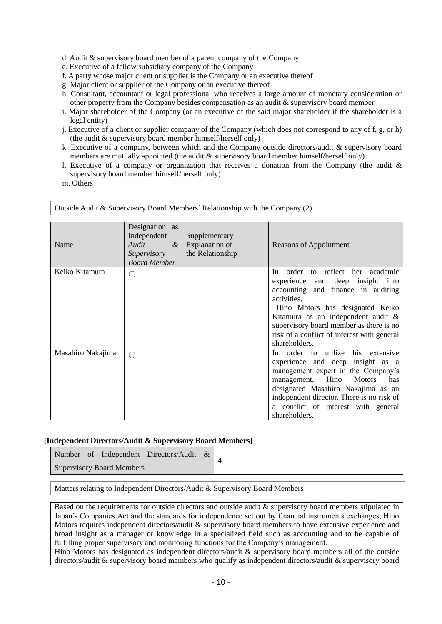d. Audit & supervisory board member of a parent company of the Company

- e. Executive of a fellow subsidiary company of the Company
- f. A party whose major client or supplier is the Company or an executive thereof
- g. Major client or supplier of the Company or an executive thereof
- h. Consultant, accountant or legal professional who receives a large amount of monetary consideration or other property from the Company besides compensation as an audit & supervisory board member
- i. Major shareholder of the Company (or an executive of the said major shareholder if the shareholder is a legal entity)
- j. Executive of a client or supplier company of the Company (which does not correspond to any of f, g, or h) (the audit & supervisory board member himself/herself only)
- k. Executive of a company, between which and the Company outside directors/audit & supervisory board members are mutually appointed (the audit & supervisory board member himself/herself only)
- l. Executive of a company or organization that receives a donation from the Company (the audit & supervisory board member himself/herself only)
- m. Others

| Name              | Designation as<br>Independent<br>Audit<br>$\alpha$<br>Supervisory<br><b>Board Member</b> | Supplementary<br>Explanation of<br>the Relationship | Reasons of Appointment                                                                                                                                                                                                                                                                                            |
|-------------------|------------------------------------------------------------------------------------------|-----------------------------------------------------|-------------------------------------------------------------------------------------------------------------------------------------------------------------------------------------------------------------------------------------------------------------------------------------------------------------------|
| Keiko Kitamura    | f.                                                                                       |                                                     | In order to reflect her academic<br>and deep insight into<br>experience<br>accounting and finance in auditing<br>activities.<br>Hino Motors has designated Keiko<br>Kitamura as an independent audit &<br>supervisory board member as there is no<br>risk of a conflict of interest with general<br>shareholders. |
| Masahiro Nakajima | ⊖                                                                                        |                                                     | In order to utilize<br>his<br>extensive<br>experience and deep insight as a<br>management expert in the Company's<br>management, Hino<br><b>Motors</b><br>has<br>designated Masahiro Nakajima as an<br>independent director. There is no risk of<br>a conflict of interest with general<br>shareholders.          |

Outside Audit & Supervisory Board Members' Relationship with the Company (2)

### **[Independent Directors/Audit & Supervisory Board Members]**

| Number of Independent Directors/Audit & |  |
|-----------------------------------------|--|
| Supervisory Board Members               |  |

Matters relating to Independent Directors/Audit & Supervisory Board Members

Based on the requirements for outside directors and outside audit & supervisory board members stipulated in Japan's Companies Act and the standards for independence set out by financial instruments exchanges, Hino Motors requires independent directors/audit & supervisory board members to have extensive experience and broad insight as a manager or knowledge in a specialized field such as accounting and to be capable of fulfilling proper supervisory and monitoring functions for the Company's management.

Hino Motors has designated as independent directors/audit & supervisory board members all of the outside directors/audit & supervisory board members who qualify as independent directors/audit & supervisory board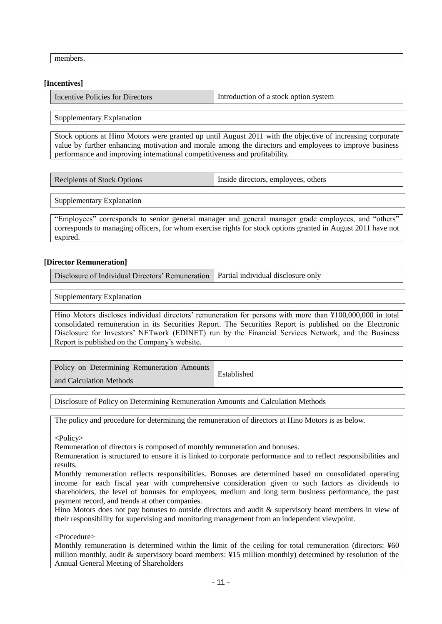members.

#### **[Incentives]**

| Incentive Policies for Directors | Introduction of a stock option system |
|----------------------------------|---------------------------------------|
|                                  |                                       |

Supplementary Explanation

Stock options at Hino Motors were granted up until August 2011 with the objective of increasing corporate value by further enhancing motivation and morale among the directors and employees to improve business performance and improving international competitiveness and profitability.

| Inside directors, employees, others<br>Recipients of Stock Options |
|--------------------------------------------------------------------|
|--------------------------------------------------------------------|

Supplementary Explanation

"Employees" corresponds to senior general manager and general manager grade employees, and "others" corresponds to managing officers, for whom exercise rights for stock options granted in August 2011 have not expired.

#### **[Director Remuneration]**

Disclosure of Individual Directors' Remuneration Partial individual disclosure only

Supplementary Explanation

Hino Motors discloses individual directors' remuneration for persons with more than ¥100,000,000 in total consolidated remuneration in its Securities Report. The Securities Report is published on the Electronic Disclosure for Investors' NETwork (EDINET) run by the Financial Services Network, and the Business Report is published on the Company's website.

| Policy on Determining Remuneration Amounts | Established |
|--------------------------------------------|-------------|
| and Calculation Methods                    |             |

Disclosure of Policy on Determining Remuneration Amounts and Calculation Methods

The policy and procedure for determining the remuneration of directors at Hino Motors is as below.

<Policy>

Remuneration of directors is composed of monthly remuneration and bonuses.

Remuneration is structured to ensure it is linked to corporate performance and to reflect responsibilities and results.

Monthly remuneration reflects responsibilities. Bonuses are determined based on consolidated operating income for each fiscal year with comprehensive consideration given to such factors as dividends to shareholders, the level of bonuses for employees, medium and long term business performance, the past payment record, and trends at other companies.

Hino Motors does not pay bonuses to outside directors and audit & supervisory board members in view of their responsibility for supervising and monitoring management from an independent viewpoint.

<Procedure>

Monthly remuneration is determined within the limit of the ceiling for total remuneration (directors: ¥60 million monthly, audit & supervisory board members: ¥15 million monthly) determined by resolution of the Annual General Meeting of Shareholders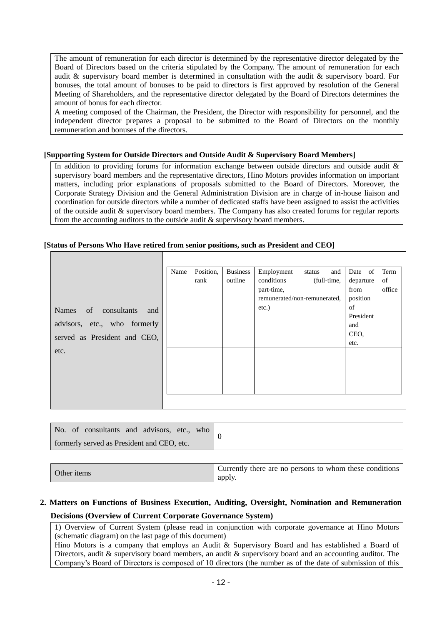The amount of remuneration for each director is determined by the representative director delegated by the Board of Directors based on the criteria stipulated by the Company. The amount of remuneration for each audit & supervisory board member is determined in consultation with the audit & supervisory board. For bonuses, the total amount of bonuses to be paid to directors is first approved by resolution of the General Meeting of Shareholders, and the representative director delegated by the Board of Directors determines the amount of bonus for each director.

A meeting composed of the Chairman, the President, the Director with responsibility for personnel, and the independent director prepares a proposal to be submitted to the Board of Directors on the monthly remuneration and bonuses of the directors.

### **[Supporting System for Outside Directors and Outside Audit & Supervisory Board Members]**

In addition to providing forums for information exchange between outside directors and outside audit & supervisory board members and the representative directors, Hino Motors provides information on important matters, including prior explanations of proposals submitted to the Board of Directors. Moreover, the Corporate Strategy Division and the General Administration Division are in charge of in-house liaison and coordination for outside directors while a number of dedicated staffs have been assigned to assist the activities of the outside audit & supervisory board members. The Company has also created forums for regular reports from the accounting auditors to the outside audit & supervisory board members.

### **[Status of Persons Who Have retired from senior positions, such as President and CEO]**

|                                              | Name | Position, | <b>Business</b> | Employment                   | and<br>status | Date of   | Term   |
|----------------------------------------------|------|-----------|-----------------|------------------------------|---------------|-----------|--------|
|                                              |      | rank      | outline         | conditions                   | (full-time,   | departure | of     |
|                                              |      |           |                 | part-time,                   |               | from      | office |
|                                              |      |           |                 | remunerated/non-remunerated, |               | position  |        |
| consultants<br><sub>of</sub><br>Names<br>and |      |           |                 | $etc.$ )                     |               | of        |        |
| advisors, etc., who formerly                 |      |           |                 |                              |               | President |        |
|                                              |      |           |                 |                              |               | and       |        |
| served as President and CEO,                 |      |           |                 |                              |               | CEO,      |        |
| etc.                                         |      |           |                 |                              |               | etc.      |        |
|                                              |      |           |                 |                              |               |           |        |
|                                              |      |           |                 |                              |               |           |        |
|                                              |      |           |                 |                              |               |           |        |
|                                              |      |           |                 |                              |               |           |        |
|                                              |      |           |                 |                              |               |           |        |
|                                              |      |           |                 |                              |               |           |        |

| No. of consultants and advisors, etc., y<br>who |  |
|-------------------------------------------------|--|
| formerly served as President and CEO, etc.      |  |

| " Currently there are no persons to whom these conditions<br>Other items<br>apply. |
|------------------------------------------------------------------------------------|
|------------------------------------------------------------------------------------|

### **2. Matters on Functions of Business Execution, Auditing, Oversight, Nomination and Remuneration Decisions (Overview of Current Corporate Governance System)**

1) Overview of Current System (please read in conjunction with corporate governance at Hino Motors (schematic diagram) on the last page of this document)

Hino Motors is a company that employs an Audit & Supervisory Board and has established a Board of Directors, audit & supervisory board members, an audit & supervisory board and an accounting auditor. The Company's Board of Directors is composed of 10 directors (the number as of the date of submission of this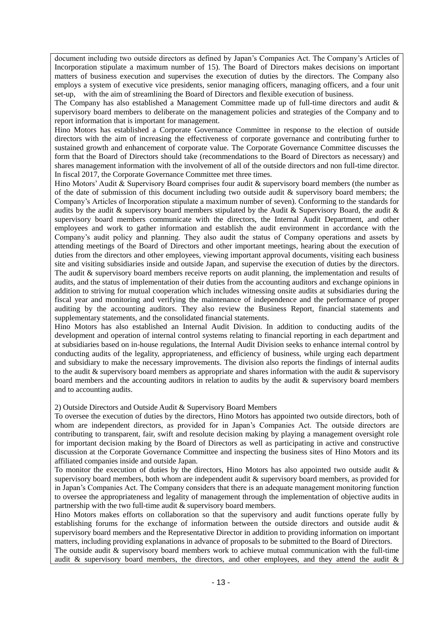document including two outside directors as defined by Japan's Companies Act. The Company's Articles of Incorporation stipulate a maximum number of 15). The Board of Directors makes decisions on important matters of business execution and supervises the execution of duties by the directors. The Company also employs a system of executive vice presidents, senior managing officers, managing officers, and a four unit set-up, with the aim of streamlining the Board of Directors and flexible execution of business.

The Company has also established a Management Committee made up of full-time directors and audit  $\&$ supervisory board members to deliberate on the management policies and strategies of the Company and to report information that is important for management.

Hino Motors has established a Corporate Governance Committee in response to the election of outside directors with the aim of increasing the effectiveness of corporate governance and contributing further to sustained growth and enhancement of corporate value. The Corporate Governance Committee discusses the form that the Board of Directors should take (recommendations to the Board of Directors as necessary) and shares management information with the involvement of all of the outside directors and non full-time director. In fiscal 2017, the Corporate Governance Committee met three times.

Hino Motors' Audit & Supervisory Board comprises four audit & supervisory board members (the number as of the date of submission of this document including two outside audit  $\&$  supervisory board members; the Company's Articles of Incorporation stipulate a maximum number of seven). Conforming to the standards for audits by the audit & supervisory board members stipulated by the Audit & Supervisory Board, the audit  $\&$ supervisory board members communicate with the directors, the Internal Audit Department, and other employees and work to gather information and establish the audit environment in accordance with the Company's audit policy and planning. They also audit the status of Company operations and assets by attending meetings of the Board of Directors and other important meetings, hearing about the execution of duties from the directors and other employees, viewing important approval documents, visiting each business site and visiting subsidiaries inside and outside Japan, and supervise the execution of duties by the directors. The audit & supervisory board members receive reports on audit planning, the implementation and results of audits, and the status of implementation of their duties from the accounting auditors and exchange opinions in addition to striving for mutual cooperation which includes witnessing onsite audits at subsidiaries during the fiscal year and monitoring and verifying the maintenance of independence and the performance of proper auditing by the accounting auditors. They also review the Business Report, financial statements and supplementary statements, and the consolidated financial statements.

Hino Motors has also established an Internal Audit Division. In addition to conducting audits of the development and operation of internal control systems relating to financial reporting in each department and at subsidiaries based on in-house regulations, the Internal Audit Division seeks to enhance internal control by conducting audits of the legality, appropriateness, and efficiency of business, while urging each department and subsidiary to make the necessary improvements. The division also reports the findings of internal audits to the audit & supervisory board members as appropriate and shares information with the audit & supervisory board members and the accounting auditors in relation to audits by the audit  $\&$  supervisory board members and to accounting audits.

2) Outside Directors and Outside Audit & Supervisory Board Members

To oversee the execution of duties by the directors, Hino Motors has appointed two outside directors, both of whom are independent directors, as provided for in Japan's Companies Act. The outside directors are contributing to transparent, fair, swift and resolute decision making by playing a management oversight role for important decision making by the Board of Directors as well as participating in active and constructive discussion at the Corporate Governance Committee and inspecting the business sites of Hino Motors and its affiliated companies inside and outside Japan.

To monitor the execution of duties by the directors, Hino Motors has also appointed two outside audit  $\&$ supervisory board members, both whom are independent audit & supervisory board members, as provided for in Japan's Companies Act. The Company considers that there is an adequate management monitoring function to oversee the appropriateness and legality of management through the implementation of objective audits in partnership with the two full-time audit & supervisory board members.

Hino Motors makes efforts on collaboration so that the supervisory and audit functions operate fully by establishing forums for the exchange of information between the outside directors and outside audit & supervisory board members and the Representative Director in addition to providing information on important matters, including providing explanations in advance of proposals to be submitted to the Board of Directors.

The outside audit & supervisory board members work to achieve mutual communication with the full-time audit & supervisory board members, the directors, and other employees, and they attend the audit &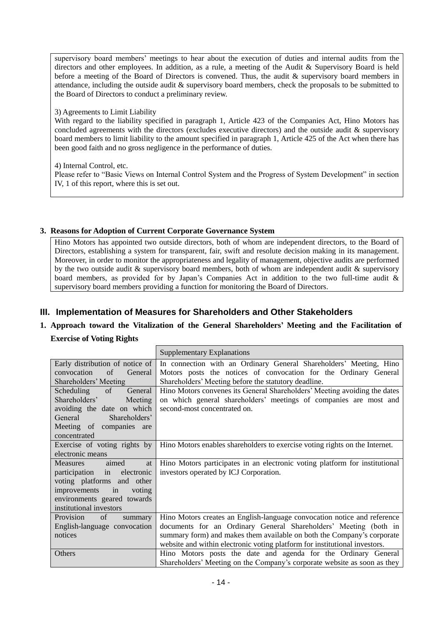supervisory board members' meetings to hear about the execution of duties and internal audits from the directors and other employees. In addition, as a rule, a meeting of the Audit & Supervisory Board is held before a meeting of the Board of Directors is convened. Thus, the audit & supervisory board members in attendance, including the outside audit & supervisory board members, check the proposals to be submitted to the Board of Directors to conduct a preliminary review.

### 3) Agreements to Limit Liability

With regard to the liability specified in paragraph 1, Article 423 of the Companies Act, Hino Motors has concluded agreements with the directors (excludes executive directors) and the outside audit & supervisory board members to limit liability to the amount specified in paragraph 1, Article 425 of the Act when there has been good faith and no gross negligence in the performance of duties.

4) Internal Control, etc.

Please refer to "Basic Views on Internal Control System and the Progress of System Development" in section IV, 1 of this report, where this is set out.

### **3. Reasons for Adoption of Current Corporate Governance System**

Hino Motors has appointed two outside directors, both of whom are independent directors, to the Board of Directors, establishing a system for transparent, fair, swift and resolute decision making in its management. Moreover, in order to monitor the appropriateness and legality of management, objective audits are performed by the two outside audit & supervisory board members, both of whom are independent audit & supervisory board members, as provided for by Japan's Companies Act in addition to the two full-time audit & supervisory board members providing a function for monitoring the Board of Directors.

### **III. Implementation of Measures for Shareholders and Other Stakeholders**

## **1. Approach toward the Vitalization of the General Shareholders' Meeting and the Facilitation of**

**Exercise of Voting Rights**

|                                 | <b>Supplementary Explanations</b>                                           |
|---------------------------------|-----------------------------------------------------------------------------|
| Early distribution of notice of | In connection with an Ordinary General Shareholders' Meeting, Hino          |
| convocation<br>of<br>General    | Motors posts the notices of convocation for the Ordinary General            |
| Shareholders' Meeting           | Shareholders' Meeting before the statutory deadline.                        |
| Scheduling<br>General<br>of     | Hino Motors convenes its General Shareholders' Meeting avoiding the dates   |
| Shareholders'<br>Meeting        | on which general shareholders' meetings of companies are most and           |
| avoiding the date on which      | second-most concentrated on.                                                |
| General<br>Shareholders'        |                                                                             |
| Meeting of companies are        |                                                                             |
| concentrated                    |                                                                             |
| Exercise of voting rights by    | Hino Motors enables shareholders to exercise voting rights on the Internet. |
| electronic means                |                                                                             |
| <b>Measures</b><br>aimed<br>at  | Hino Motors participates in an electronic voting platform for institutional |
| participation in electronic     | investors operated by ICJ Corporation.                                      |
| voting platforms and other      |                                                                             |
| improvements in<br>voting       |                                                                             |
| environments geared towards     |                                                                             |
| institutional investors         |                                                                             |
| Provision<br>of<br>summary      | Hino Motors creates an English-language convocation notice and reference    |
| English-language convocation    | documents for an Ordinary General Shareholders' Meeting (both in            |
| notices                         | summary form) and makes them available on both the Company's corporate      |
|                                 | website and within electronic voting platform for institutional investors.  |
| Others                          | Hino Motors posts the date and agenda for the Ordinary General              |
|                                 | Shareholders' Meeting on the Company's corporate website as soon as they    |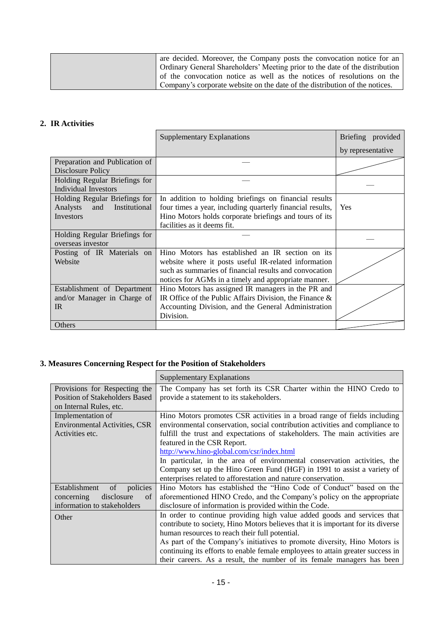| are decided. Moreover, the Company posts the convocation notice for an       |
|------------------------------------------------------------------------------|
| Ordinary General Shareholders' Meeting prior to the date of the distribution |
| of the convocation notice as well as the notices of resolutions on the       |
| Company's corporate website on the date of the distribution of the notices.  |

### **2. IR Activities**

|                                  | <b>Supplementary Explanations</b>                          | Briefing provided |
|----------------------------------|------------------------------------------------------------|-------------------|
|                                  |                                                            | by representative |
| Preparation and Publication of   |                                                            |                   |
| Disclosure Policy                |                                                            |                   |
| Holding Regular Briefings for    |                                                            |                   |
| <b>Individual Investors</b>      |                                                            |                   |
| Holding Regular Briefings for    | In addition to holding briefings on financial results      |                   |
| Institutional<br>Analysts<br>and | four times a year, including quarterly financial results,  | Yes               |
| Investors                        | Hino Motors holds corporate briefings and tours of its     |                   |
|                                  | facilities as it deems fit.                                |                   |
| Holding Regular Briefings for    |                                                            |                   |
| overseas investor                |                                                            |                   |
| Posting of IR Materials on       | Hino Motors has established an IR section on its           |                   |
| Website                          | website where it posts useful IR-related information       |                   |
|                                  | such as summaries of financial results and convocation     |                   |
|                                  | notices for AGMs in a timely and appropriate manner.       |                   |
| Establishment of Department      | Hino Motors has assigned IR managers in the PR and         |                   |
| and/or Manager in Charge of      | IR Office of the Public Affairs Division, the Finance $\&$ |                   |
| IR                               | Accounting Division, and the General Administration        |                   |
|                                  | Division.                                                  |                   |
| Others                           |                                                            |                   |

### **3. Measures Concerning Respect for the Position of Stakeholders**

|                                                                        | <b>Supplementary Explanations</b>                                                                              |
|------------------------------------------------------------------------|----------------------------------------------------------------------------------------------------------------|
| Provisions for Respecting the<br><b>Position of Stakeholders Based</b> | The Company has set forth its CSR Charter within the HINO Credo to<br>provide a statement to its stakeholders. |
| on Internal Rules, etc.                                                |                                                                                                                |
| Implementation of                                                      | Hino Motors promotes CSR activities in a broad range of fields including                                       |
| <b>Environmental Activities, CSR</b>                                   | environmental conservation, social contribution activities and compliance to                                   |
| Activities etc.                                                        | fulfill the trust and expectations of stakeholders. The main activities are                                    |
|                                                                        | featured in the CSR Report.                                                                                    |
|                                                                        | http://www.hino-global.com/csr/index.html                                                                      |
|                                                                        | In particular, in the area of environmental conservation activities, the                                       |
|                                                                        | Company set up the Hino Green Fund (HGF) in 1991 to assist a variety of                                        |
|                                                                        | enterprises related to afforestation and nature conservation.                                                  |
| Establishment<br>policies<br>of                                        | Hino Motors has established the "Hino Code of Conduct" based on the                                            |
| disclosure<br>concerning<br>of                                         | aforementioned HINO Credo, and the Company's policy on the appropriate                                         |
| information to stakeholders                                            | disclosure of information is provided within the Code.                                                         |
| Other                                                                  | In order to continue providing high value added goods and services that                                        |
|                                                                        | contribute to society, Hino Motors believes that it is important for its diverse                               |
|                                                                        | human resources to reach their full potential.                                                                 |
|                                                                        | As part of the Company's initiatives to promote diversity, Hino Motors is                                      |
|                                                                        | continuing its efforts to enable female employees to attain greater success in                                 |
|                                                                        | their careers. As a result, the number of its female managers has been                                         |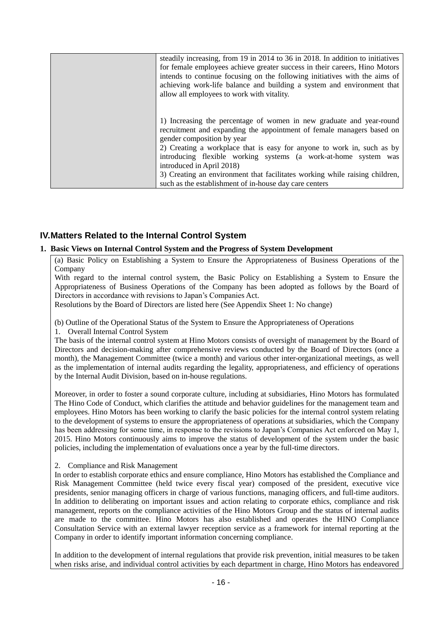| steadily increasing, from 19 in 2014 to 36 in 2018. In addition to initiatives<br>for female employees achieve greater success in their careers, Hino Motors<br>intends to continue focusing on the following initiatives with the aims of<br>achieving work-life balance and building a system and environment that<br>allow all employees to work with vitality.                                                                                                                             |
|------------------------------------------------------------------------------------------------------------------------------------------------------------------------------------------------------------------------------------------------------------------------------------------------------------------------------------------------------------------------------------------------------------------------------------------------------------------------------------------------|
| 1) Increasing the percentage of women in new graduate and year-round<br>recruitment and expanding the appointment of female managers based on<br>gender composition by year<br>2) Creating a workplace that is easy for anyone to work in, such as by<br>introducing flexible working systems (a work-at-home system was<br>introduced in April 2018)<br>3) Creating an environment that facilitates working while raising children,<br>such as the establishment of in-house day care centers |

### **IV.Matters Related to the Internal Control System**

### **1. Basic Views on Internal Control System and the Progress of System Development**

(a) Basic Policy on Establishing a System to Ensure the Appropriateness of Business Operations of the Company

With regard to the internal control system, the Basic Policy on Establishing a System to Ensure the Appropriateness of Business Operations of the Company has been adopted as follows by the Board of Directors in accordance with revisions to Japan's Companies Act.

Resolutions by the Board of Directors are listed here (See Appendix Sheet 1: No change)

(b) Outline of the Operational Status of the System to Ensure the Appropriateness of Operations

1. Overall Internal Control System

The basis of the internal control system at Hino Motors consists of oversight of management by the Board of Directors and decision-making after comprehensive reviews conducted by the Board of Directors (once a month), the Management Committee (twice a month) and various other inter-organizational meetings, as well as the implementation of internal audits regarding the legality, appropriateness, and efficiency of operations by the Internal Audit Division, based on in-house regulations.

Moreover, in order to foster a sound corporate culture, including at subsidiaries, Hino Motors has formulated The Hino Code of Conduct, which clarifies the attitude and behavior guidelines for the management team and employees. Hino Motors has been working to clarify the basic policies for the internal control system relating to the development of systems to ensure the appropriateness of operations at subsidiaries, which the Company has been addressing for some time, in response to the revisions to Japan's Companies Act enforced on May 1, 2015. Hino Motors continuously aims to improve the status of development of the system under the basic policies, including the implementation of evaluations once a year by the full-time directors.

### 2. Compliance and Risk Management

In order to establish corporate ethics and ensure compliance, Hino Motors has established the Compliance and Risk Management Committee (held twice every fiscal year) composed of the president, executive vice presidents, senior managing officers in charge of various functions, managing officers, and full-time auditors. In addition to deliberating on important issues and action relating to corporate ethics, compliance and risk management, reports on the compliance activities of the Hino Motors Group and the status of internal audits are made to the committee. Hino Motors has also established and operates the HINO Compliance Consultation Service with an external lawyer reception service as a framework for internal reporting at the Company in order to identify important information concerning compliance.

In addition to the development of internal regulations that provide risk prevention, initial measures to be taken when risks arise, and individual control activities by each department in charge, Hino Motors has endeavored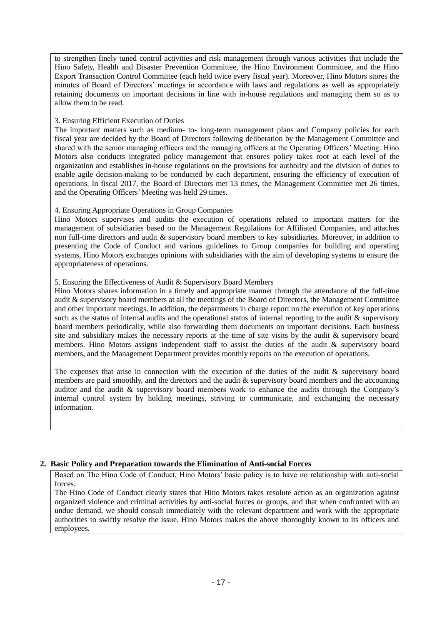to strengthen finely tuned control activities and risk management through various activities that include the Hino Safety, Health and Disaster Prevention Committee, the Hino Environment Committee, and the Hino Export Transaction Control Committee (each held twice every fiscal year). Moreover, Hino Motors stores the minutes of Board of Directors' meetings in accordance with laws and regulations as well as appropriately retaining documents on important decisions in line with in-house regulations and managing them so as to allow them to be read.

### 3. Ensuring Efficient Execution of Duties

The important matters such as medium- to- long-term management plans and Company policies for each fiscal year are decided by the Board of Directors following deliberation by the Management Committee and shared with the senior managing officers and the managing officers at the Operating Officers' Meeting. Hino Motors also conducts integrated policy management that ensures policy takes root at each level of the organization and establishes in-house regulations on the provisions for authority and the division of duties to enable agile decision-making to be conducted by each department, ensuring the efficiency of execution of operations. In fiscal 2017, the Board of Directors met 13 times, the Management Committee met 26 times, and the Operating Officers' Meeting was held 29 times.

### 4. Ensuring Appropriate Operations in Group Companies

Hino Motors supervises and audits the execution of operations related to important matters for the management of subsidiaries based on the Management Regulations for Affiliated Companies, and attaches non full-time directors and audit & supervisory board members to key subsidiaries. Moreover, in addition to presenting the Code of Conduct and various guidelines to Group companies for building and operating systems, Hino Motors exchanges opinions with subsidiaries with the aim of developing systems to ensure the appropriateness of operations.

### 5. Ensuring the Effectiveness of Audit & Supervisory Board Members

Hino Motors shares information in a timely and appropriate manner through the attendance of the full-time audit & supervisory board members at all the meetings of the Board of Directors, the Management Committee and other important meetings. In addition, the departments in charge report on the execution of key operations such as the status of internal audits and the operational status of internal reporting to the audit  $\&$  supervisory board members periodically, while also forwarding them documents on important decisions. Each business site and subsidiary makes the necessary reports at the time of site visits by the audit & supervisory board members. Hino Motors assigns independent staff to assist the duties of the audit & supervisory board members, and the Management Department provides monthly reports on the execution of operations.

The expenses that arise in connection with the execution of the duties of the audit & supervisory board members are paid smoothly, and the directors and the audit & supervisory board members and the accounting auditor and the audit & supervisory board members work to enhance the audits through the Company's internal control system by holding meetings, striving to communicate, and exchanging the necessary information.

### **2. Basic Policy and Preparation towards the Elimination of Anti-social Forces**

Based on The Hino Code of Conduct, Hino Motors' basic policy is to have no relationship with anti-social forces.

The Hino Code of Conduct clearly states that Hino Motors takes resolute action as an organization against organized violence and criminal activities by anti-social forces or groups, and that when confronted with an undue demand, we should consult immediately with the relevant department and work with the appropriate authorities to swiftly resolve the issue. Hino Motors makes the above thoroughly known to its officers and employees.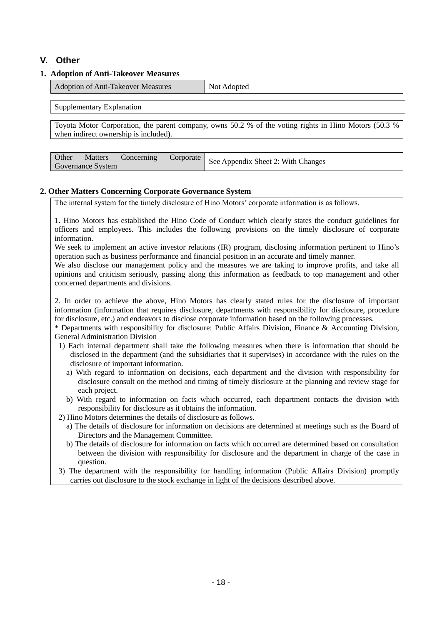### **V. Other**

### **1. Adoption of Anti-Takeover Measures**

| $\mathbf{r}$                       | $\Delta$ Not |
|------------------------------------|--------------|
| Adoption of Anti-Takeover Measures | Adopted      |

Supplementary Explanation

Toyota Motor Corporation, the parent company, owns 50.2 % of the voting rights in Hino Motors (50.3 % when indirect ownership is included).

|                          |  |  | Juner Matters Concerning Corporate   See Appendix Sheet 2: With Changes |
|--------------------------|--|--|-------------------------------------------------------------------------|
| <b>Governance System</b> |  |  |                                                                         |

### **2. Other Matters Concerning Corporate Governance System**

The internal system for the timely disclosure of Hino Motors' corporate information is as follows.

1. Hino Motors has established the Hino Code of Conduct which clearly states the conduct guidelines for officers and employees. This includes the following provisions on the timely disclosure of corporate information.

We seek to implement an active investor relations (IR) program, disclosing information pertinent to Hino's operation such as business performance and financial position in an accurate and timely manner.

We also disclose our management policy and the measures we are taking to improve profits, and take all opinions and criticism seriously, passing along this information as feedback to top management and other concerned departments and divisions.

2. In order to achieve the above, Hino Motors has clearly stated rules for the disclosure of important information (information that requires disclosure, departments with responsibility for disclosure, procedure for disclosure, etc.) and endeavors to disclose corporate information based on the following processes.

\* Departments with responsibility for disclosure: Public Affairs Division, Finance & Accounting Division, General Administration Division

- 1) Each internal department shall take the following measures when there is information that should be disclosed in the department (and the subsidiaries that it supervises) in accordance with the rules on the disclosure of important information.
	- a) With regard to information on decisions, each department and the division with responsibility for disclosure consult on the method and timing of timely disclosure at the planning and review stage for each project.
	- b) With regard to information on facts which occurred, each department contacts the division with responsibility for disclosure as it obtains the information.
- 2) Hino Motors determines the details of disclosure as follows.
	- a) The details of disclosure for information on decisions are determined at meetings such as the Board of Directors and the Management Committee.
	- b) The details of disclosure for information on facts which occurred are determined based on consultation between the division with responsibility for disclosure and the department in charge of the case in question.
- 3) The department with the responsibility for handling information (Public Affairs Division) promptly carries out disclosure to the stock exchange in light of the decisions described above.